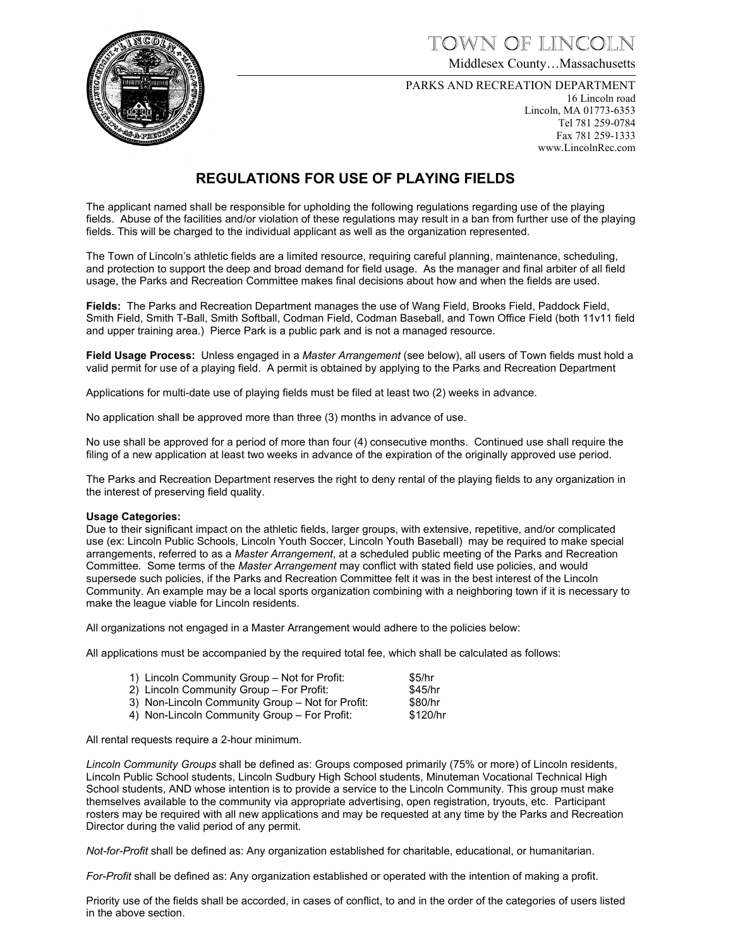town of lincoln

Middlesex County…Massachusetts

PARKS AND RECREATION DEPARTMENT

16 Lincoln road Lincoln, MA 01773-6353 Tel 781 259-0784 Fax 781 259-1333 www.LincolnRec.com

### **REGULATIONS FOR USE OF PLAYING FIELDS**

The applicant named shall be responsible for upholding the following regulations regarding use of the playing fields. Abuse of the facilities and/or violation of these regulations may result in a ban from further use of the playing fields. This will be charged to the individual applicant as well as the organization represented.

The Town of Lincoln's athletic fields are a limited resource, requiring careful planning, maintenance, scheduling, and protection to support the deep and broad demand for field usage. As the manager and final arbiter of all field usage, the Parks and Recreation Committee makes final decisions about how and when the fields are used.

**Fields:** The Parks and Recreation Department manages the use of Wang Field, Brooks Field, Paddock Field, Smith Field, Smith T-Ball, Smith Softball, Codman Field, Codman Baseball, and Town Office Field (both 11v11 field and upper training area.) Pierce Park is a public park and is not a managed resource.

**Field Usage Process:** Unless engaged in a *Master Arrangement* (see below), all users of Town fields must hold a valid permit for use of a playing field. A permit is obtained by applying to the Parks and Recreation Department

Applications for multi-date use of playing fields must be filed at least two (2) weeks in advance.

No application shall be approved more than three (3) months in advance of use.

No use shall be approved for a period of more than four (4) consecutive months. Continued use shall require the filing of a new application at least two weeks in advance of the expiration of the originally approved use period.

The Parks and Recreation Department reserves the right to deny rental of the playing fields to any organization in the interest of preserving field quality.

### **Usage Categories:**

Due to their significant impact on the athletic fields, larger groups, with extensive, repetitive, and/or complicated use (ex: Lincoln Public Schools, Lincoln Youth Soccer, Lincoln Youth Baseball) may be required to make special arrangements, referred to as a *Master Arrangement*, at a scheduled public meeting of the Parks and Recreation Committee. Some terms of the *Master Arrangement* may conflict with stated field use policies, and would supersede such policies, if the Parks and Recreation Committee felt it was in the best interest of the Lincoln Community. An example may be a local sports organization combining with a neighboring town if it is necessary to make the league viable for Lincoln residents.

All organizations not engaged in a Master Arrangement would adhere to the policies below:

All applications must be accompanied by the required total fee, which shall be calculated as follows:

| 1) Lincoln Community Group - Not for Profit:     | \$5/hr   |
|--------------------------------------------------|----------|
| 2) Lincoln Community Group – For Profit:         | \$45/hr  |
| 3) Non-Lincoln Community Group – Not for Profit: | \$80/hr  |
| 4) Non-Lincoln Community Group – For Profit:     | \$120/hr |
|                                                  |          |

All rental requests require a 2-hour minimum.

*Lincoln Community Groups* shall be defined as: Groups composed primarily (75% or more) of Lincoln residents, Lincoln Public School students, Lincoln Sudbury High School students, Minuteman Vocational Technical High School students, AND whose intention is to provide a service to the Lincoln Community. This group must make themselves available to the community via appropriate advertising, open registration, tryouts, etc. Participant rosters may be required with all new applications and may be requested at any time by the Parks and Recreation Director during the valid period of any permit.

*Not-for-Profit* shall be defined as: Any organization established for charitable, educational, or humanitarian.

*For-Profit* shall be defined as: Any organization established or operated with the intention of making a profit.

Priority use of the fields shall be accorded, in cases of conflict, to and in the order of the categories of users listed in the above section.

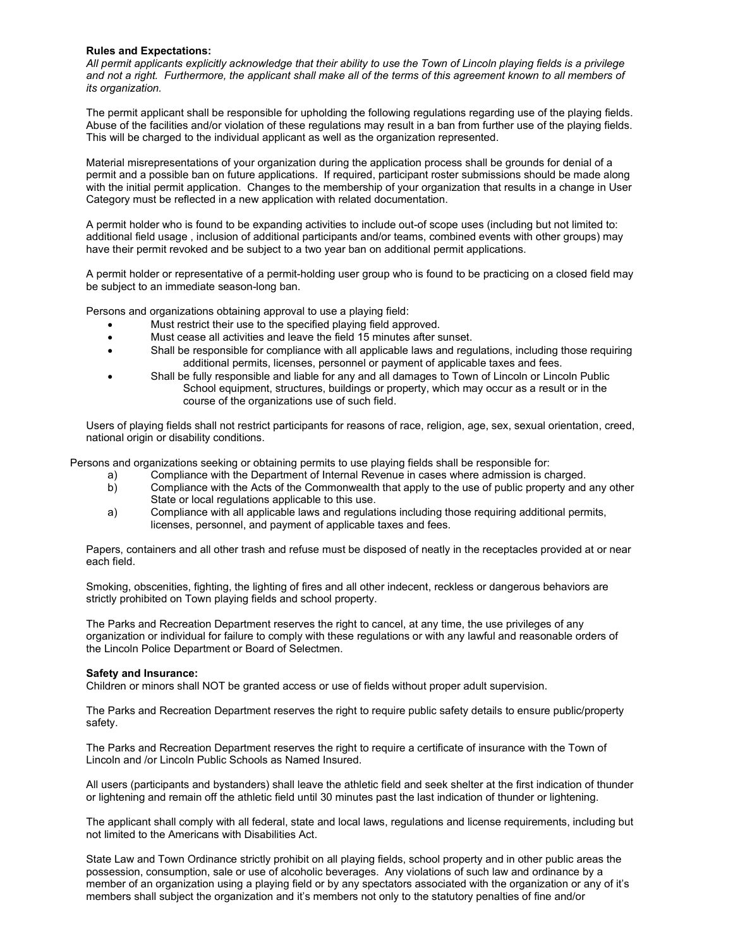### **Rules and Expectations:**

*All permit applicants explicitly acknowledge that their ability to use the Town of Lincoln playing fields is a privilege and not a right. Furthermore, the applicant shall make all of the terms of this agreement known to all members of its organization.* 

The permit applicant shall be responsible for upholding the following regulations regarding use of the playing fields. Abuse of the facilities and/or violation of these regulations may result in a ban from further use of the playing fields. This will be charged to the individual applicant as well as the organization represented.

Material misrepresentations of your organization during the application process shall be grounds for denial of a permit and a possible ban on future applications. If required, participant roster submissions should be made along with the initial permit application. Changes to the membership of your organization that results in a change in User Category must be reflected in a new application with related documentation.

A permit holder who is found to be expanding activities to include out-of scope uses (including but not limited to: additional field usage , inclusion of additional participants and/or teams, combined events with other groups) may have their permit revoked and be subject to a two year ban on additional permit applications.

A permit holder or representative of a permit-holding user group who is found to be practicing on a closed field may be subject to an immediate season-long ban.

Persons and organizations obtaining approval to use a playing field:

- Must restrict their use to the specified playing field approved.
- Must cease all activities and leave the field 15 minutes after sunset.
- Shall be responsible for compliance with all applicable laws and regulations, including those requiring additional permits, licenses, personnel or payment of applicable taxes and fees.
- Shall be fully responsible and liable for any and all damages to Town of Lincoln or Lincoln Public School equipment, structures, buildings or property, which may occur as a result or in the course of the organizations use of such field.

Users of playing fields shall not restrict participants for reasons of race, religion, age, sex, sexual orientation, creed, national origin or disability conditions.

Persons and organizations seeking or obtaining permits to use playing fields shall be responsible for:

- a) Compliance with the Department of Internal Revenue in cases where admission is charged.<br>b) Compliance with the Acts of the Commonwealth that apply to the use of public property and
- Compliance with the Acts of the Commonwealth that apply to the use of public property and any other State or local regulations applicable to this use.
- a) Compliance with all applicable laws and regulations including those requiring additional permits, licenses, personnel, and payment of applicable taxes and fees.

Papers, containers and all other trash and refuse must be disposed of neatly in the receptacles provided at or near each field.

Smoking, obscenities, fighting, the lighting of fires and all other indecent, reckless or dangerous behaviors are strictly prohibited on Town playing fields and school property.

The Parks and Recreation Department reserves the right to cancel, at any time, the use privileges of any organization or individual for failure to comply with these regulations or with any lawful and reasonable orders of the Lincoln Police Department or Board of Selectmen.

### **Safety and Insurance:**

Children or minors shall NOT be granted access or use of fields without proper adult supervision.

The Parks and Recreation Department reserves the right to require public safety details to ensure public/property safety.

The Parks and Recreation Department reserves the right to require a certificate of insurance with the Town of Lincoln and /or Lincoln Public Schools as Named Insured.

All users (participants and bystanders) shall leave the athletic field and seek shelter at the first indication of thunder or lightening and remain off the athletic field until 30 minutes past the last indication of thunder or lightening.

The applicant shall comply with all federal, state and local laws, regulations and license requirements, including but not limited to the Americans with Disabilities Act.

State Law and Town Ordinance strictly prohibit on all playing fields, school property and in other public areas the possession, consumption, sale or use of alcoholic beverages. Any violations of such law and ordinance by a member of an organization using a playing field or by any spectators associated with the organization or any of it's members shall subject the organization and it's members not only to the statutory penalties of fine and/or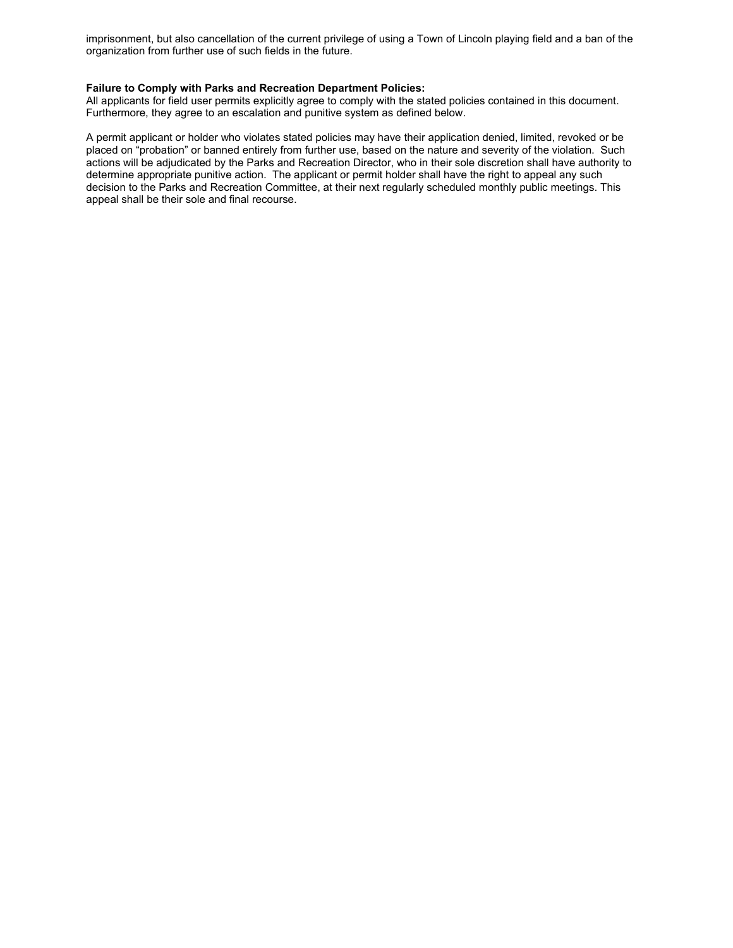imprisonment, but also cancellation of the current privilege of using a Town of Lincoln playing field and a ban of the organization from further use of such fields in the future.

### **Failure to Comply with Parks and Recreation Department Policies:**

All applicants for field user permits explicitly agree to comply with the stated policies contained in this document. Furthermore, they agree to an escalation and punitive system as defined below.

A permit applicant or holder who violates stated policies may have their application denied, limited, revoked or be placed on "probation" or banned entirely from further use, based on the nature and severity of the violation. Such actions will be adjudicated by the Parks and Recreation Director, who in their sole discretion shall have authority to determine appropriate punitive action. The applicant or permit holder shall have the right to appeal any such decision to the Parks and Recreation Committee, at their next regularly scheduled monthly public meetings. This appeal shall be their sole and final recourse.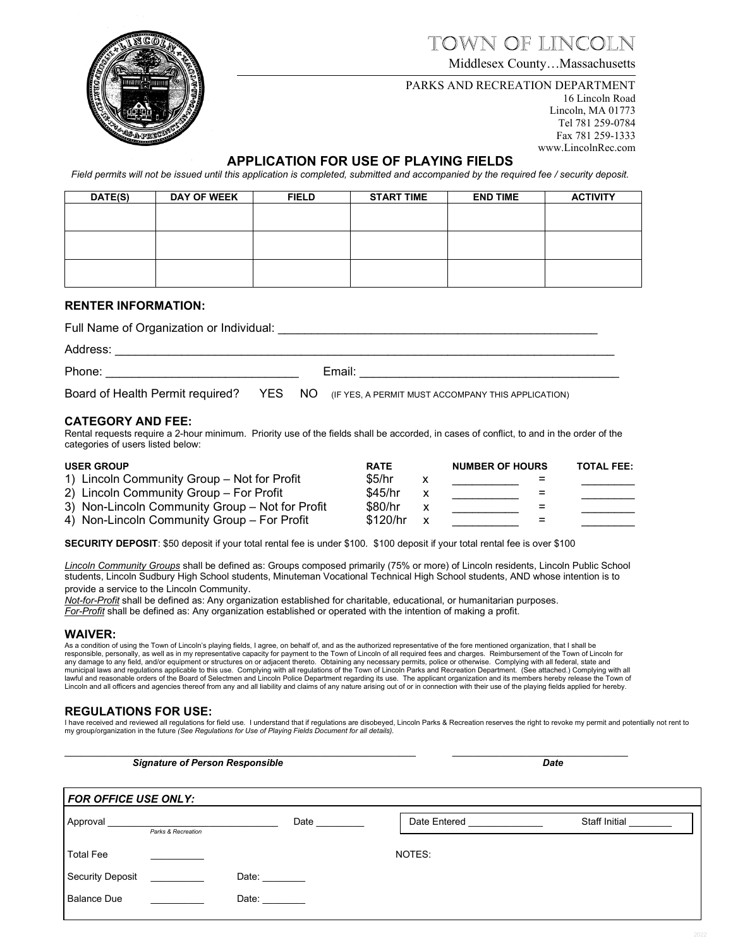# town of lincoln

Middlesex County…Massachusetts

### PARKS AND RECREATION DEPARTMENT

16 Lincoln Road Lincoln, MA 01773 Tel 781 259-0784 Fax 781 259-1333 www.LincolnRec.com

### **APPLICATION FOR USE OF PLAYING FIELDS**

*Field permits will not be issued until this application is completed, submitted and accompanied by the required fee / security deposit.*

| DATE(S) | <b>DAY OF WEEK</b> | <b>FIELD</b> | <b>START TIME</b> | <b>END TIME</b> | <b>ACTIVITY</b> |
|---------|--------------------|--------------|-------------------|-----------------|-----------------|
|         |                    |              |                   |                 |                 |
|         |                    |              |                   |                 |                 |
|         |                    |              |                   |                 |                 |
|         |                    |              |                   |                 |                 |
|         |                    |              |                   |                 |                 |
|         |                    |              |                   |                 |                 |

### **RENTER INFORMATION:**

Full Name of Organization or Individual: \_\_\_\_\_\_\_\_\_\_\_\_\_\_\_\_\_\_\_\_\_\_\_\_\_\_\_\_\_\_\_\_\_\_\_\_\_\_\_\_\_\_\_\_\_\_\_\_

Address: \_\_\_\_\_\_\_\_\_\_\_\_\_\_\_\_\_\_\_\_\_\_\_\_\_\_\_\_\_\_\_\_\_\_\_\_\_\_\_\_\_\_\_\_\_\_\_\_\_\_\_\_\_\_\_\_\_\_\_\_\_\_\_\_\_\_\_\_\_\_\_\_\_\_\_

Phone: The contract of the contract of the Email:  $\blacksquare$ 

Board of Health Permit required? YES NO (IF YES, A PERMIT MUST ACCOMPANY THIS APPLICATION)

### **CATEGORY AND FEE:**

Rental requests require a 2-hour minimum. Priority use of the fields shall be accorded, in cases of conflict, to and in the order of the categories of users listed below:

| <b>USER GROUP</b> |                                                 | <b>RATE</b> | <b>NUMBER OF HOURS</b> | <b>TOTAL FEE:</b> |
|-------------------|-------------------------------------------------|-------------|------------------------|-------------------|
|                   | 1) Lincoln Community Group - Not for Profit     | \$5/hr      | -                      |                   |
|                   | 2) Lincoln Community Group – For Profit         | \$45/hr     | $=$                    |                   |
|                   | 3) Non-Lincoln Community Group – Not for Profit | \$80/hr     | $=$                    |                   |
|                   | 4) Non-Lincoln Community Group - For Profit     | \$120/hr    | =                      |                   |

**SECURITY DEPOSIT**: \$50 deposit if your total rental fee is under \$100. \$100 deposit if your total rental fee is over \$100

*Lincoln Community Groups* shall be defined as: Groups composed primarily (75% or more) of Lincoln residents, Lincoln Public School students, Lincoln Sudbury High School students, Minuteman Vocational Technical High School students, AND whose intention is to provide a service to the Lincoln Community.

*Not-for-Profit* shall be defined as: Any organization established for charitable, educational, or humanitarian purposes. *For-Profit* shall be defined as: Any organization established or operated with the intention of making a profit.

### **WAIVER:**

As a condition of using the Town of Lincoln's playing fields, I agree, on behalf of, and as the authorized representative of the fore mentioned organization, that I shall be responsible, personally, as well as in my representative capacity for payment to the Town of Lincoln of all required fees and charges. Reimbursement of the Town of Lincoln for<br>any damage to any field, and/or equipment or lawful and reasonable orders of the Board of Selectmen and Lincoln Police Department regarding its use. The applicant organization and its members hereby release the Town of Lincoln and all officers and agencies thereof from any and all liability and claims of any nature arising out of or in connection with their use of the playing fields applied for hereby.

### **REGULATIONS FOR USE:**

l have received and reviewed all regulations for field use. I understand that if regulations are disobeyed, Lincoln Parks & Recreation reserves the right to revoke my permit and potentially not rent to<br>my group/organizatio

\_\_\_\_\_\_\_\_\_\_\_\_\_\_\_\_\_\_\_\_\_\_\_\_\_\_\_\_\_\_\_\_\_\_\_\_\_\_\_\_\_\_\_\_\_\_\_\_\_\_\_\_\_\_\_\_\_\_\_\_\_\_\_\_\_\_ \_\_\_\_\_\_\_\_\_\_\_\_\_\_\_\_\_\_\_\_\_\_\_\_\_\_\_\_\_\_\_\_\_ *FOR OFFICE USE ONLY:* Approval \_\_\_\_\_\_\_\_\_\_\_\_\_\_\_\_\_\_\_\_\_\_\_\_\_\_\_\_\_\_\_\_\_\_\_ Date \_\_\_\_\_\_\_\_\_\_\_ Date Entered \_\_\_\_\_\_\_\_\_\_\_\_\_\_ Staff Initial \_\_\_\_\_\_\_ Total Fee \_\_\_\_\_\_\_\_\_\_ NOTES: Security Deposit \_\_\_\_\_\_\_\_\_\_\_ Date: \_\_\_\_\_\_\_\_ Balance Due \_\_\_\_\_\_\_\_\_\_\_\_\_\_\_\_\_\_\_\_\_\_ Date: \_\_\_\_\_\_  *Parks & Recreation*  **Signature of Person Responsible Date** Date